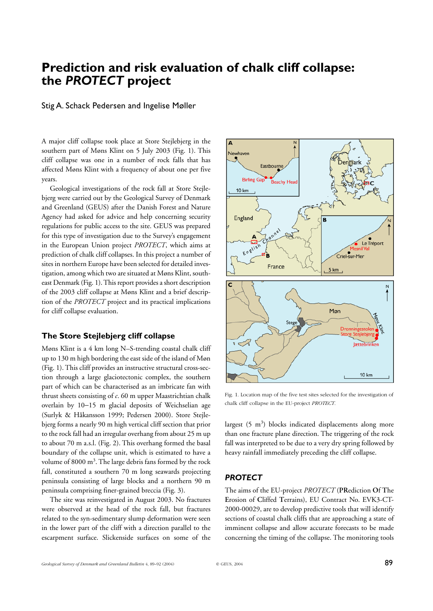# **Prediction and risk evaluation of chalk cliff collapse: the** *PROTECT* **project**

#### Stig A. Schack Pedersen and Ingelise Møller

A major cliff collapse took place at Store Stejlebjerg in the southern part of Møns Klint on 5 July 2003 (Fig. 1). This cliff collapse was one in a number of rock falls that has affected Møns Klint with a frequency of about one per five years.

Geological investigations of the rock fall at Store Stejlebjerg were carried out by the Geological Survey of Denmark and Greenland (GEUS) after the Danish Forest and Nature Agency had asked for advice and help concerning security regulations for public access to the site. GEUS was prepared for this type of investigation due to the Survey's engagement in the European Union project *PROTECT*, which aims at prediction of chalk cliff collapses. In this project a number of sites in northern Europe have been selected for detailed investigation, among which two are situated at Møns Klint, southeast Denmark (Fig. 1). This report provides a short description of the 2003 cliff collapse at Møns Klint and a brief description of the *PROTECT* project and its practical implications for cliff collapse evaluation.

## **The Store Stejlebjerg cliff collapse**

Møns Klint is a 4 km long N–S-trending coastal chalk cliff up to 130 m high bordering the east side of the island of Møn (Fig. 1). This cliff provides an instructive structural cross-section through a large glaciotectonic complex, the southern part of which can be characterised as an imbricate fan with thrust sheets consisting of *c*. 60 m upper Maastrichtian chalk overlain by 10−15 m glacial deposits of Weichselian age (Surlyk & Håkansson 1999; Pedersen 2000). Store Stejlebjerg forms a nearly 90 m high vertical cliff section that prior to the rock fall had an irregular overhang from about 25 m up to about 70 m a.s.l. (Fig. 2). This overhang formed the basal boundary of the collapse unit, which is estimated to have a volume of 8000 m<sup>3</sup>. The large debris fans formed by the rock fall, constituted a southern 70 m long seawards projecting peninsula consisting of large blocks and a northern 90 m peninsula comprising finer-grained breccia (Fig. 3).

The site was reinvestigated in August 2003. No fractures were observed at the head of the rock fall, but fractures related to the syn-sedimentary slump deformation were seen in the lower part of the cliff with a direction parallel to the escarpment surface. Slickenside surfaces on some of the



Fig. 1. Location map of the five test sites selected for the investigation of chalk cliff collapse in the EU-project *PROTECT*.

largest  $(5 \text{ m}^3)$  blocks indicated displacements along more than one fracture plane direction. The triggering of the rock fall was interpreted to be due to a very dry spring followed by heavy rainfall immediately preceding the cliff collapse.

#### *PROTECT*

The aims of the EU-project *PROTECT* (**PR**ediction **O**f **T**he **E**rosion of **C**liffed **T**errains), EU Contract No. EVK3-CT-2000-00029, are to develop predictive tools that will identify sections of coastal chalk cliffs that are approaching a state of imminent collapse and allow accurate forecasts to be made concerning the timing of the collapse. The monitoring tools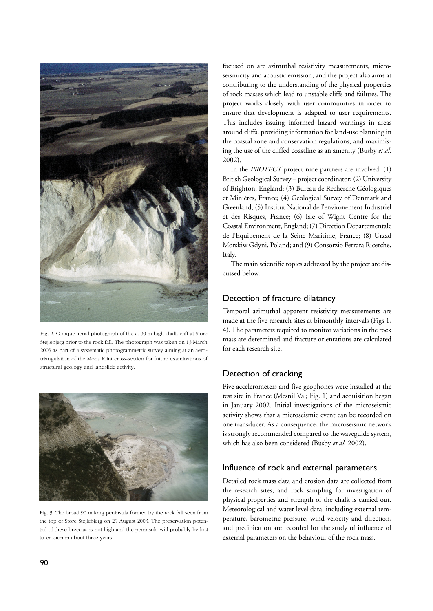

Fig. 2. Oblique aerial photograph of the *c*. 90 m high chalk cliff at Store Stejlebjerg prior to the rock fall. The photograph was taken on 13 March 2003 as part of a systematic photogrammetric survey aiming at an aerotriangulation of the Møns Klint cross-section for future examinations of structural geology and landslide activity.



Fig. 3. The broad 90 m long peninsula formed by the rock fall seen from the top of Store Stejlebjerg on 29 August 2003. The preservation potential of these breccias is not high and the peninsula will probably be lost to erosion in about three years.

focused on are azimuthal resistivity measurements, microseismicity and acoustic emission, and the project also aims at contributing to the understanding of the physical properties of rock masses which lead to unstable cliffs and failures. The project works closely with user communities in order to ensure that development is adapted to user requirements. This includes issuing informed hazard warnings in areas around cliffs, providing information for land-use planning in the coastal zone and conservation regulations, and maximising the use of the cliffed coastline as an amenity (Busby *et al.* 2002).

In the *PROTECT* project nine partners are involved: (1) British Geological Survey – project coordinator; (2) University of Brighton, England; (3) Bureau de Recherche Géologiques et Minières, France; (4) Geological Survey of Denmark and Greenland; (5) Institut National de l'environement Industriel et des Risques, France; (6) Isle of Wight Centre for the Coastal Environment, England; (7) Direction Departementale de l'Equipement de la Seine Maritime, France; (8) Urzad Morskiw Gdyni, Poland; and (9) Consorzio Ferrara Ricerche, Italy.

The main scientific topics addressed by the project are discussed below.

# Detection of fracture dilatancy

Temporal azimuthal apparent resistivity measurements are made at the five research sites at bimonthly intervals (Figs 1, 4). The parameters required to monitor variations in the rock mass are determined and fracture orientations are calculated for each research site.

# Detection of cracking

Five accelerometers and five geophones were installed at the test site in France (Mesnil Val; Fig. 1) and acquisition began in January 2002. Initial investigations of the microseismic activity shows that a microseismic event can be recorded on one transducer. As a consequence, the microseismic network is strongly recommended compared to the waveguide system, which has also been considered (Busby *et al.* 2002).

# Influence of rock and external parameters

Detailed rock mass data and erosion data are collected from the research sites, and rock sampling for investigation of physical properties and strength of the chalk is carried out. Meteorological and water level data, including external temperature, barometric pressure, wind velocity and direction, and precipitation are recorded for the study of influence of external parameters on the behaviour of the rock mass.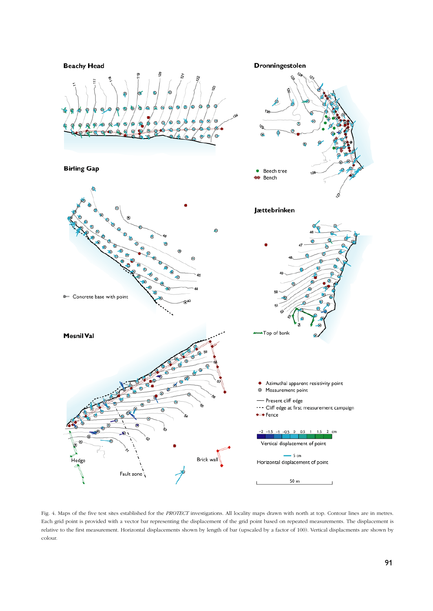

Fig. 4. Maps of the five test sites established for the *PROTECT* investigations. All locality maps drawn with north at top. Contour lines are in metres. Each grid point is provided with a vector bar representing the displacement of the grid point based on repeated measurements. The displacement is relative to the first measurement. Horizontal displacements shown by length of bar (upscaled by a factor of 100). Vertical displacments are shown by colour.